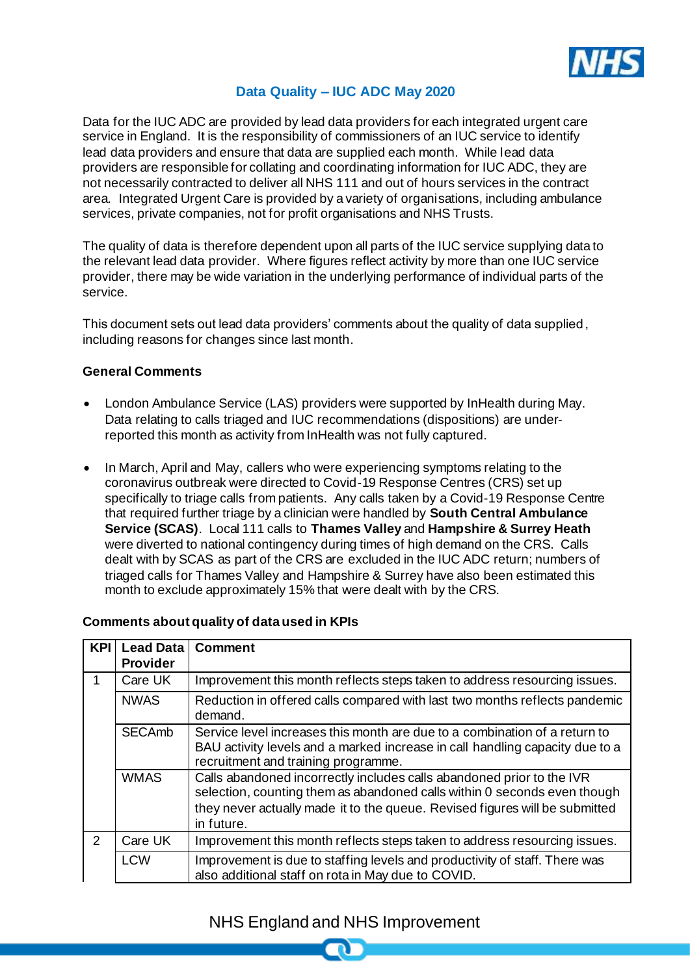

### **Data Quality – IUC ADC May 2020**

Data for the IUC ADC are provided by lead data providers for each integrated urgent care service in England. It is the responsibility of commissioners of an IUC service to identify lead data providers and ensure that data are supplied each month. While lead data providers are responsible for collating and coordinating information for IUC ADC, they are not necessarily contracted to deliver all NHS 111 and out of hours services in the contract area. Integrated Urgent Care is provided by a variety of organisations, including ambulance services, private companies, not for profit organisations and NHS Trusts.

The quality of data is therefore dependent upon all parts of the IUC service supplying data to the relevant lead data provider. Where figures reflect activity by more than one IUC service provider, there may be wide variation in the underlying performance of individual parts of the service.

This document sets out lead data providers' comments about the quality of data supplied, including reasons for changes since last month.

### **General Comments**

- London Ambulance Service (LAS) providers were supported by InHealth during May. Data relating to calls triaged and IUC recommendations (dispositions) are underreported this month as activity from InHealth was not fully captured.
- In March, April and May, callers who were experiencing symptoms relating to the coronavirus outbreak were directed to Covid-19 Response Centres (CRS) set up specifically to triage calls from patients. Any calls taken by a Covid-19 Response Centre that required further triage by a clinician were handled by **South Central Ambulance Service (SCAS)**. Local 111 calls to **Thames Valley** and **Hampshire & Surrey Heath** were diverted to national contingency during times of high demand on the CRS. Calls dealt with by SCAS as part of the CRS are excluded in the IUC ADC return; numbers of triaged calls for Thames Valley and Hampshire & Surrey have also been estimated this month to exclude approximately 15% that were dealt with by the CRS.

#### **Comments about quality of data used in KPIs**

| <b>KPI</b>    | <b>Lead Data</b><br><b>Provider</b> | <b>Comment</b>                                                                                                                                                                                                                                 |
|---------------|-------------------------------------|------------------------------------------------------------------------------------------------------------------------------------------------------------------------------------------------------------------------------------------------|
| 1             | Care UK                             | Improvement this month reflects steps taken to address resourcing issues.                                                                                                                                                                      |
|               | <b>NWAS</b>                         | Reduction in offered calls compared with last two months reflects pandemic<br>demand.                                                                                                                                                          |
|               | <b>SECAmb</b>                       | Service level increases this month are due to a combination of a return to<br>BAU activity levels and a marked increase in call handling capacity due to a<br>recruitment and training programme.                                              |
|               | <b>WMAS</b>                         | Calls abandoned incorrectly includes calls abandoned prior to the IVR<br>selection, counting them as abandoned calls within 0 seconds even though<br>they never actually made it to the queue. Revised figures will be submitted<br>in future. |
| $\mathcal{P}$ | Care UK                             | Improvement this month reflects steps taken to address resourcing issues.                                                                                                                                                                      |
|               | <b>LCW</b>                          | Improvement is due to staffing levels and productivity of staff. There was<br>also additional staff on rota in May due to COVID.                                                                                                               |

# NHS England and NHS Improvement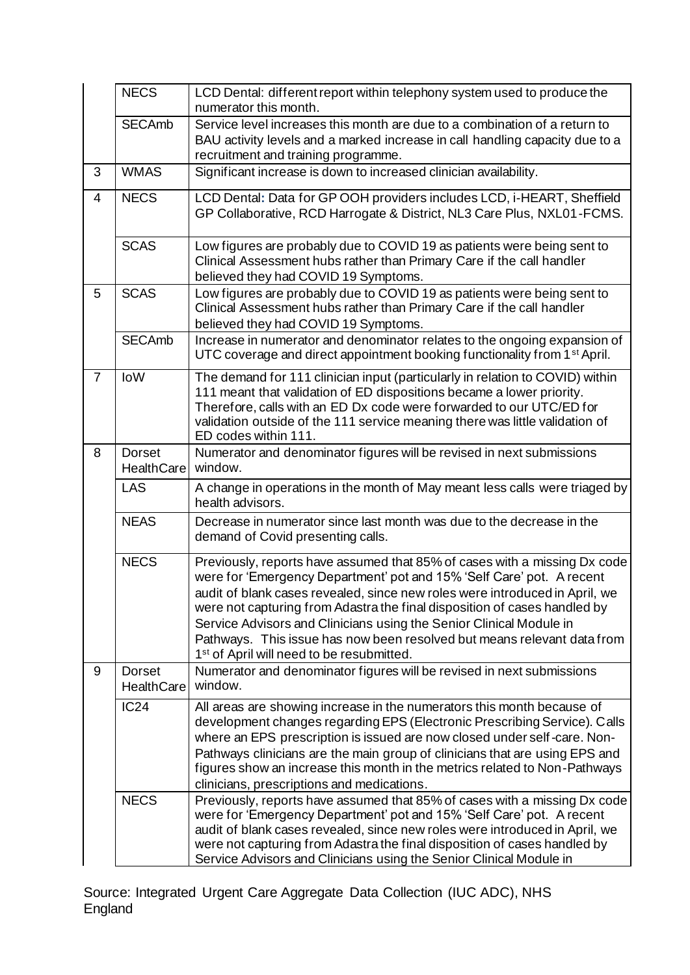|                | <b>NECS</b>                        | LCD Dental: different report within telephony system used to produce the<br>numerator this month.                                                                                                                                                                                                                                                                                                                                                                                                                         |
|----------------|------------------------------------|---------------------------------------------------------------------------------------------------------------------------------------------------------------------------------------------------------------------------------------------------------------------------------------------------------------------------------------------------------------------------------------------------------------------------------------------------------------------------------------------------------------------------|
|                | <b>SECAmb</b>                      | Service level increases this month are due to a combination of a return to<br>BAU activity levels and a marked increase in call handling capacity due to a<br>recruitment and training programme.                                                                                                                                                                                                                                                                                                                         |
| 3              | <b>WMAS</b>                        | Significant increase is down to increased clinician availability.                                                                                                                                                                                                                                                                                                                                                                                                                                                         |
| $\overline{4}$ | <b>NECS</b>                        | LCD Dental: Data for GP OOH providers includes LCD, i-HEART, Sheffield<br>GP Collaborative, RCD Harrogate & District, NL3 Care Plus, NXL01-FCMS.                                                                                                                                                                                                                                                                                                                                                                          |
|                | <b>SCAS</b>                        | Low figures are probably due to COVID 19 as patients were being sent to<br>Clinical Assessment hubs rather than Primary Care if the call handler<br>believed they had COVID 19 Symptoms.                                                                                                                                                                                                                                                                                                                                  |
| 5              | <b>SCAS</b>                        | Low figures are probably due to COVID 19 as patients were being sent to<br>Clinical Assessment hubs rather than Primary Care if the call handler<br>believed they had COVID 19 Symptoms.                                                                                                                                                                                                                                                                                                                                  |
|                | <b>SECAmb</b>                      | Increase in numerator and denominator relates to the ongoing expansion of<br>UTC coverage and direct appointment booking functionality from 1 <sup>st</sup> April.                                                                                                                                                                                                                                                                                                                                                        |
| $\overline{7}$ | loW                                | The demand for 111 clinician input (particularly in relation to COVID) within<br>111 meant that validation of ED dispositions became a lower priority.<br>Therefore, calls with an ED Dx code were forwarded to our UTC/ED for<br>validation outside of the 111 service meaning there was little validation of<br>ED codes within 111.                                                                                                                                                                                    |
| 8              | <b>Dorset</b><br><b>HealthCare</b> | Numerator and denominator figures will be revised in next submissions<br>window.                                                                                                                                                                                                                                                                                                                                                                                                                                          |
|                | <b>LAS</b>                         | A change in operations in the month of May meant less calls were triaged by<br>health advisors.                                                                                                                                                                                                                                                                                                                                                                                                                           |
|                | <b>NEAS</b>                        | Decrease in numerator since last month was due to the decrease in the<br>demand of Covid presenting calls.                                                                                                                                                                                                                                                                                                                                                                                                                |
|                | <b>NECS</b>                        | Previously, reports have assumed that 85% of cases with a missing Dx code<br>were for 'Emergency Department' pot and 15% 'Self Care' pot. A recent<br>audit of blank cases revealed, since new roles were introduced in April, we<br>were not capturing from Adastra the final disposition of cases handled by<br>Service Advisors and Clinicians using the Senior Clinical Module in<br>Pathways. This issue has now been resolved but means relevant data from<br>1 <sup>st</sup> of April will need to be resubmitted. |
| 9              | <b>Dorset</b><br><b>HealthCare</b> | Numerator and denominator figures will be revised in next submissions<br>window.                                                                                                                                                                                                                                                                                                                                                                                                                                          |
|                | IC24                               | All areas are showing increase in the numerators this month because of<br>development changes regarding EPS (Electronic Prescribing Service). Calls<br>where an EPS prescription is issued are now closed under self-care. Non-<br>Pathways clinicians are the main group of clinicians that are using EPS and<br>figures show an increase this month in the metrics related to Non-Pathways<br>clinicians, prescriptions and medications.                                                                                |
|                | <b>NECS</b>                        | Previously, reports have assumed that 85% of cases with a missing Dx code<br>were for 'Emergency Department' pot and 15% 'Self Care' pot. A recent<br>audit of blank cases revealed, since new roles were introduced in April, we<br>were not capturing from Adastra the final disposition of cases handled by<br>Service Advisors and Clinicians using the Senior Clinical Module in                                                                                                                                     |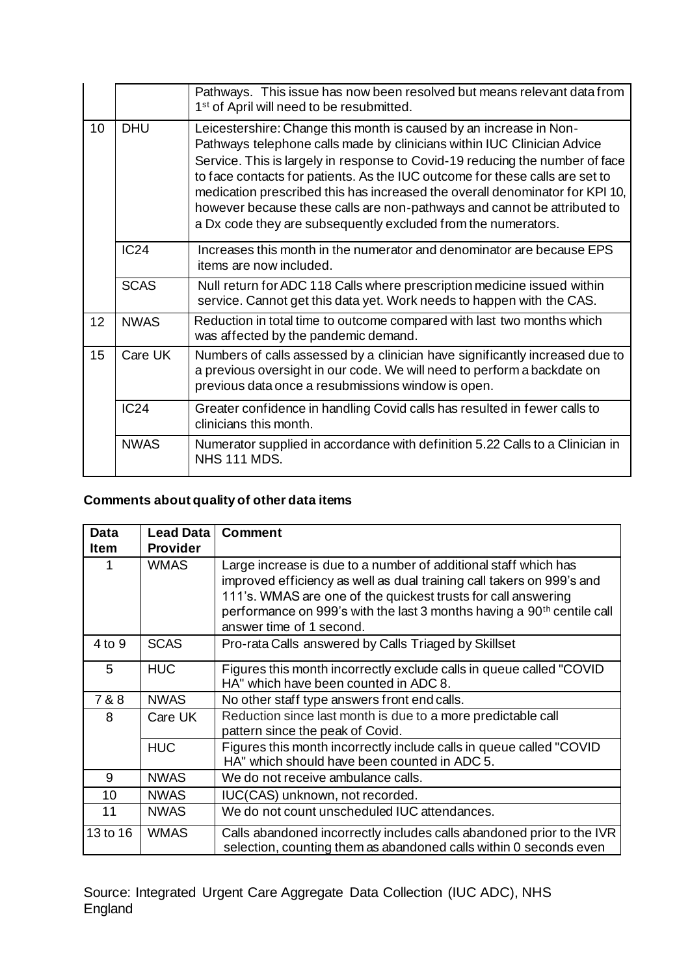|    |             | Pathways. This issue has now been resolved but means relevant data from<br>1 <sup>st</sup> of April will need to be resubmitted.                                                                                                                                                                                                                                                                                                                                                                                                           |
|----|-------------|--------------------------------------------------------------------------------------------------------------------------------------------------------------------------------------------------------------------------------------------------------------------------------------------------------------------------------------------------------------------------------------------------------------------------------------------------------------------------------------------------------------------------------------------|
| 10 | <b>DHU</b>  | Leicestershire: Change this month is caused by an increase in Non-<br>Pathways telephone calls made by clinicians within IUC Clinician Advice<br>Service. This is largely in response to Covid-19 reducing the number of face<br>to face contacts for patients. As the IUC outcome for these calls are set to<br>medication prescribed this has increased the overall denominator for KPI 10,<br>however because these calls are non-pathways and cannot be attributed to<br>a Dx code they are subsequently excluded from the numerators. |
|    | IC24        | Increases this month in the numerator and denominator are because EPS<br>items are now included.                                                                                                                                                                                                                                                                                                                                                                                                                                           |
|    | <b>SCAS</b> | Null return for ADC 118 Calls where prescription medicine issued within<br>service. Cannot get this data yet. Work needs to happen with the CAS.                                                                                                                                                                                                                                                                                                                                                                                           |
| 12 | <b>NWAS</b> | Reduction in total time to outcome compared with last two months which<br>was affected by the pandemic demand.                                                                                                                                                                                                                                                                                                                                                                                                                             |
| 15 | Care UK     | Numbers of calls assessed by a clinician have significantly increased due to<br>a previous oversight in our code. We will need to perform a backdate on<br>previous data once a resubmissions window is open.                                                                                                                                                                                                                                                                                                                              |
|    | IC24        | Greater confidence in handling Covid calls has resulted in fewer calls to<br>clinicians this month.                                                                                                                                                                                                                                                                                                                                                                                                                                        |
|    | <b>NWAS</b> | Numerator supplied in accordance with definition 5.22 Calls to a Clinician in<br><b>NHS 111 MDS.</b>                                                                                                                                                                                                                                                                                                                                                                                                                                       |

## **Comments about quality of other data items**

| Data        | <b>Lead Data</b> | <b>Comment</b>                                                                                                                             |
|-------------|------------------|--------------------------------------------------------------------------------------------------------------------------------------------|
| <b>Item</b> | <b>Provider</b>  |                                                                                                                                            |
| 1           | <b>WMAS</b>      | Large increase is due to a number of additional staff which has                                                                            |
|             |                  | improved efficiency as well as dual training call takers on 999's and                                                                      |
|             |                  | 111's. WMAS are one of the quickest trusts for call answering                                                                              |
|             |                  | performance on 999's with the last 3 months having a 90 <sup>th</sup> centile call                                                         |
|             |                  | answer time of 1 second.                                                                                                                   |
| 4 to 9      | <b>SCAS</b>      | Pro-rata Calls answered by Calls Triaged by Skillset                                                                                       |
| 5           | <b>HUC</b>       | Figures this month incorrectly exclude calls in queue called "COVID"                                                                       |
|             |                  | HA" which have been counted in ADC 8.                                                                                                      |
| 7 & 8       | <b>NWAS</b>      | No other staff type answers front end calls.                                                                                               |
| 8           | Care UK          | Reduction since last month is due to a more predictable call                                                                               |
|             |                  | pattern since the peak of Covid.                                                                                                           |
|             | <b>HUC</b>       | Figures this month incorrectly include calls in queue called "COVID"                                                                       |
|             |                  | HA" which should have been counted in ADC 5.                                                                                               |
| 9           | <b>NWAS</b>      | We do not receive ambulance calls.                                                                                                         |
| 10          | <b>NWAS</b>      | IUC(CAS) unknown, not recorded.                                                                                                            |
| 11          | <b>NWAS</b>      | We do not count unscheduled IUC attendances.                                                                                               |
| 13 to 16    | <b>WMAS</b>      | Calls abandoned incorrectly includes calls abandoned prior to the IVR<br>selection, counting them as abandoned calls within 0 seconds even |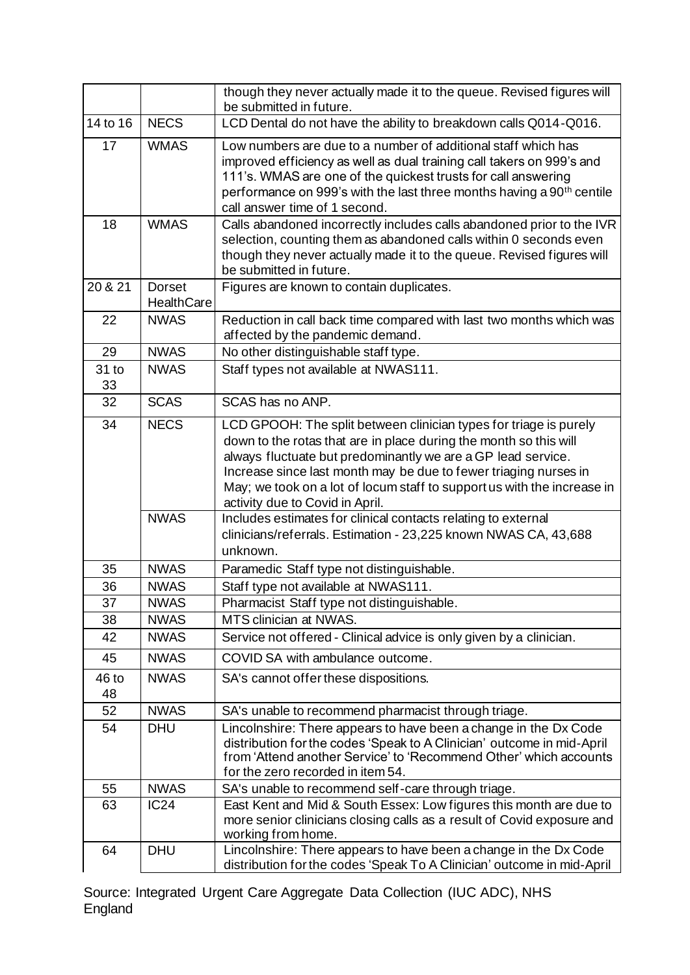|                 |                                    | though they never actually made it to the queue. Revised figures will<br>be submitted in future.                                                                                                                                                                                                                                                                                         |
|-----------------|------------------------------------|------------------------------------------------------------------------------------------------------------------------------------------------------------------------------------------------------------------------------------------------------------------------------------------------------------------------------------------------------------------------------------------|
| 14 to 16        | <b>NECS</b>                        | LCD Dental do not have the ability to breakdown calls Q014-Q016.                                                                                                                                                                                                                                                                                                                         |
| 17              | <b>WMAS</b>                        | Low numbers are due to a number of additional staff which has<br>improved efficiency as well as dual training call takers on 999's and<br>111's. WMAS are one of the quickest trusts for call answering<br>performance on 999's with the last three months having a 90 <sup>th</sup> centile<br>call answer time of 1 second.                                                            |
| 18              | <b>WMAS</b>                        | Calls abandoned incorrectly includes calls abandoned prior to the IVR<br>selection, counting them as abandoned calls within 0 seconds even<br>though they never actually made it to the queue. Revised figures will<br>be submitted in future.                                                                                                                                           |
| 20 & 21         | <b>Dorset</b><br><b>HealthCare</b> | Figures are known to contain duplicates.                                                                                                                                                                                                                                                                                                                                                 |
| 22              | <b>NWAS</b>                        | Reduction in call back time compared with last two months which was<br>affected by the pandemic demand.                                                                                                                                                                                                                                                                                  |
| 29              | <b>NWAS</b>                        | No other distinguishable staff type.                                                                                                                                                                                                                                                                                                                                                     |
| 31 to<br>33     | <b>NWAS</b>                        | Staff types not available at NWAS111.                                                                                                                                                                                                                                                                                                                                                    |
| 32              | <b>SCAS</b>                        | SCAS has no ANP.                                                                                                                                                                                                                                                                                                                                                                         |
| 34              | <b>NECS</b>                        | LCD GPOOH: The split between clinician types for triage is purely<br>down to the rotas that are in place during the month so this will<br>always fluctuate but predominantly we are a GP lead service.<br>Increase since last month may be due to fewer triaging nurses in<br>May; we took on a lot of locum staff to support us with the increase in<br>activity due to Covid in April. |
|                 | <b>NWAS</b>                        | Includes estimates for clinical contacts relating to external<br>clinicians/referrals. Estimation - 23,225 known NWAS CA, 43,688<br>unknown.                                                                                                                                                                                                                                             |
| 35              | <b>NWAS</b>                        | Paramedic Staff type not distinguishable.                                                                                                                                                                                                                                                                                                                                                |
| 36              | <b>NWAS</b>                        | Staff type not available at NWAS111.                                                                                                                                                                                                                                                                                                                                                     |
| $\overline{37}$ | <b>NWAS</b>                        | Pharmacist Staff type not distinguishable.                                                                                                                                                                                                                                                                                                                                               |
| 38              | <b>NWAS</b>                        | MTS clinician at NWAS.                                                                                                                                                                                                                                                                                                                                                                   |
| 42              | <b>NWAS</b>                        | Service not offered - Clinical advice is only given by a clinician.                                                                                                                                                                                                                                                                                                                      |
| 45              | <b>NWAS</b>                        | COVID SA with ambulance outcome.                                                                                                                                                                                                                                                                                                                                                         |
| $46$ to<br>48   | <b>NWAS</b>                        | SA's cannot offer these dispositions.                                                                                                                                                                                                                                                                                                                                                    |
| 52              | <b>NWAS</b>                        | SA's unable to recommend pharmacist through triage.                                                                                                                                                                                                                                                                                                                                      |
| 54              | <b>DHU</b>                         | Lincolnshire: There appears to have been a change in the Dx Code<br>distribution for the codes 'Speak to A Clinician' outcome in mid-April<br>from 'Attend another Service' to 'Recommend Other' which accounts<br>for the zero recorded in item 54.                                                                                                                                     |
| 55              | <b>NWAS</b>                        | SA's unable to recommend self-care through triage.                                                                                                                                                                                                                                                                                                                                       |
| 63              | <b>IC24</b>                        | East Kent and Mid & South Essex: Low figures this month are due to<br>more senior clinicians closing calls as a result of Covid exposure and<br>working from home.                                                                                                                                                                                                                       |
| 64              | <b>DHU</b>                         | Lincolnshire: There appears to have been a change in the Dx Code<br>distribution for the codes 'Speak To A Clinician' outcome in mid-April                                                                                                                                                                                                                                               |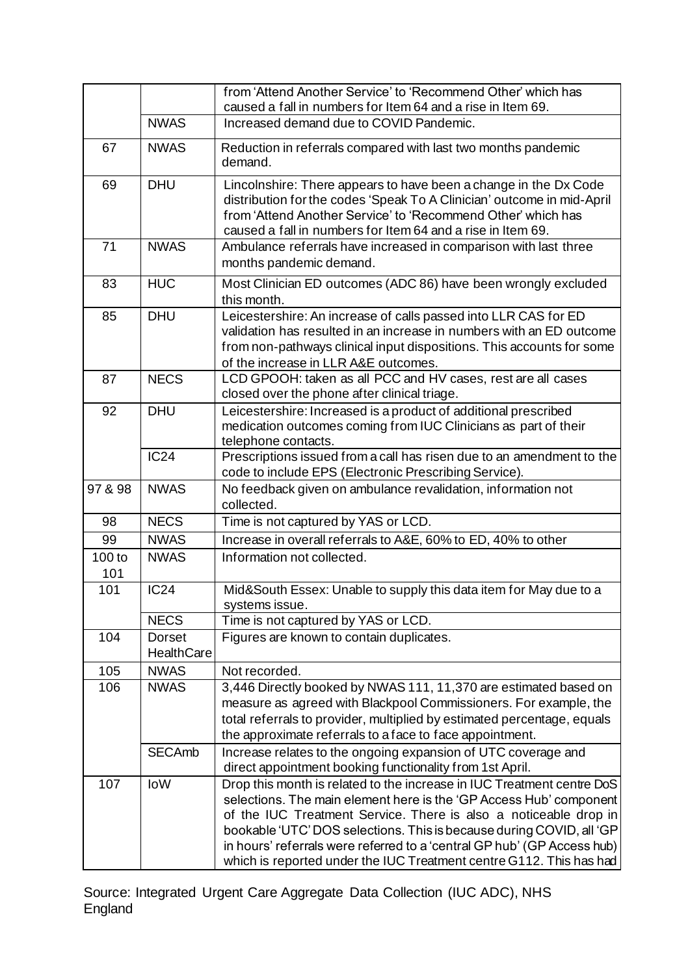|               |                             | from 'Attend Another Service' to 'Recommend Other' which has<br>caused a fall in numbers for Item 64 and a rise in Item 69.                                                                                                                                                                                                                                                                                                                |
|---------------|-----------------------------|--------------------------------------------------------------------------------------------------------------------------------------------------------------------------------------------------------------------------------------------------------------------------------------------------------------------------------------------------------------------------------------------------------------------------------------------|
|               | <b>NWAS</b>                 | Increased demand due to COVID Pandemic.                                                                                                                                                                                                                                                                                                                                                                                                    |
| 67            | <b>NWAS</b>                 | Reduction in referrals compared with last two months pandemic<br>demand.                                                                                                                                                                                                                                                                                                                                                                   |
| 69            | <b>DHU</b>                  | Lincolnshire: There appears to have been a change in the Dx Code<br>distribution for the codes 'Speak To A Clinician' outcome in mid-April<br>from 'Attend Another Service' to 'Recommend Other' which has<br>caused a fall in numbers for Item 64 and a rise in Item 69.                                                                                                                                                                  |
| 71            | <b>NWAS</b>                 | Ambulance referrals have increased in comparison with last three<br>months pandemic demand.                                                                                                                                                                                                                                                                                                                                                |
| 83            | <b>HUC</b>                  | Most Clinician ED outcomes (ADC 86) have been wrongly excluded<br>this month.                                                                                                                                                                                                                                                                                                                                                              |
| 85            | <b>DHU</b>                  | Leicestershire: An increase of calls passed into LLR CAS for ED<br>validation has resulted in an increase in numbers with an ED outcome<br>from non-pathways clinical input dispositions. This accounts for some<br>of the increase in LLR A&E outcomes.                                                                                                                                                                                   |
| 87            | <b>NECS</b>                 | LCD GPOOH: taken as all PCC and HV cases, rest are all cases<br>closed over the phone after clinical triage.                                                                                                                                                                                                                                                                                                                               |
| 92            | <b>DHU</b>                  | Leicestershire: Increased is a product of additional prescribed<br>medication outcomes coming from IUC Clinicians as part of their<br>telephone contacts.                                                                                                                                                                                                                                                                                  |
|               | IC24                        | Prescriptions issued from a call has risen due to an amendment to the<br>code to include EPS (Electronic Prescribing Service).                                                                                                                                                                                                                                                                                                             |
| 97 & 98       | <b>NWAS</b>                 | No feedback given on ambulance revalidation, information not<br>collected.                                                                                                                                                                                                                                                                                                                                                                 |
| 98            | <b>NECS</b>                 | Time is not captured by YAS or LCD.                                                                                                                                                                                                                                                                                                                                                                                                        |
| 99            | <b>NWAS</b>                 | Increase in overall referrals to A&E, 60% to ED, 40% to other                                                                                                                                                                                                                                                                                                                                                                              |
| 100 to<br>101 | <b>NWAS</b>                 | Information not collected.                                                                                                                                                                                                                                                                                                                                                                                                                 |
| 101           | <b>IC24</b>                 | Mid&South Essex: Unable to supply this data item for May due to a<br>systems issue.                                                                                                                                                                                                                                                                                                                                                        |
|               | <b>NECS</b>                 | Time is not captured by YAS or LCD.                                                                                                                                                                                                                                                                                                                                                                                                        |
| 104           | Dorset<br><b>HealthCare</b> | Figures are known to contain duplicates.                                                                                                                                                                                                                                                                                                                                                                                                   |
| 105           | <b>NWAS</b>                 | Not recorded.                                                                                                                                                                                                                                                                                                                                                                                                                              |
| 106           | <b>NWAS</b>                 | 3,446 Directly booked by NWAS 111, 11,370 are estimated based on<br>measure as agreed with Blackpool Commissioners. For example, the<br>total referrals to provider, multiplied by estimated percentage, equals<br>the approximate referrals to a face to face appointment.                                                                                                                                                                |
|               | <b>SECAmb</b>               | Increase relates to the ongoing expansion of UTC coverage and<br>direct appointment booking functionality from 1st April.                                                                                                                                                                                                                                                                                                                  |
| 107           | IoW                         | Drop this month is related to the increase in IUC Treatment centre DoS<br>selections. The main element here is the 'GP Access Hub' component<br>of the IUC Treatment Service. There is also a noticeable drop in<br>bookable 'UTC' DOS selections. This is because during COVID, all 'GP<br>in hours' referrals were referred to a 'central GP hub' (GP Access hub)<br>which is reported under the IUC Treatment centre G112. This has had |